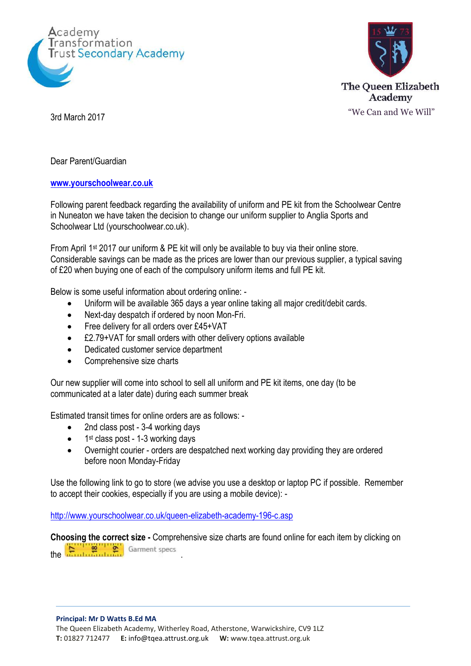



Dear Parent/Guardian

## **[www.yourschoolwear.co.uk](http://www.yourschoolwear.co.uk/)**

Following parent feedback regarding the availability of uniform and PE kit from the Schoolwear Centre in Nuneaton we have taken the decision to change our uniform supplier to Anglia Sports and Schoolwear Ltd (yourschoolwear.co.uk).

From April 1st 2017 our uniform & PE kit will only be available to buy via their online store. Considerable savings can be made as the prices are lower than our previous supplier, a typical saving of £20 when buying one of each of the compulsory uniform items and full PE kit.

Below is some useful information about ordering online: -

- Uniform will be available 365 days a year online taking all major credit/debit cards.
- Next-day despatch if ordered by noon Mon-Fri.
- Free delivery for all orders over £45+VAT
- £2.79+VAT for small orders with other delivery options available
- Dedicated customer service department
- Comprehensive size charts

Our new supplier will come into school to sell all uniform and PE kit items, one day (to be communicated at a later date) during each summer break

Estimated transit times for online orders are as follows: -

- 2nd class post 3-4 working days
- 1<sup>st</sup> class post 1-3 working days
- Overnight courier orders are despatched next working day providing they are ordered before noon Monday-Friday

Use the following link to go to store (we advise you use a desktop or laptop PC if possible. Remember to accept their cookies, especially if you are using a mobile device): -

<http://www.yourschoolwear.co.uk/queen-elizabeth-academy-196-c.asp>

**Choosing the correct size -** Comprehensive size charts are found online for each item by clicking on the **E** ... **2 C** Garment specs